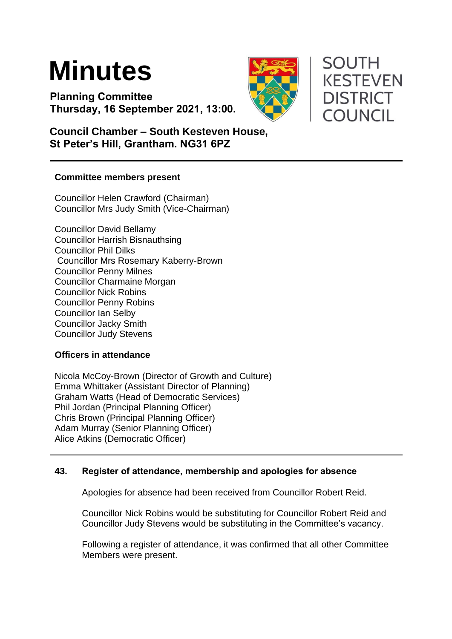

**Planning Committee Thursday, 16 September 2021, 13:00.** 



# **SOUTH KESTEVEN DISTRICT COUNCIL**

**Council Chamber – South Kesteven House, St Peter's Hill, Grantham. NG31 6PZ**

# **Committee members present**

Councillor Helen Crawford (Chairman) Councillor Mrs Judy Smith (Vice-Chairman)

Councillor David Bellamy Councillor Harrish Bisnauthsing Councillor Phil Dilks Councillor Mrs Rosemary Kaberry-Brown Councillor Penny Milnes Councillor Charmaine Morgan Councillor Nick Robins Councillor Penny Robins Councillor Ian Selby Councillor Jacky Smith Councillor Judy Stevens

# **Officers in attendance**

Nicola McCoy-Brown (Director of Growth and Culture) Emma Whittaker (Assistant Director of Planning) Graham Watts (Head of Democratic Services) Phil Jordan (Principal Planning Officer) Chris Brown (Principal Planning Officer) Adam Murray (Senior Planning Officer) Alice Atkins (Democratic Officer)

# **43. Register of attendance, membership and apologies for absence**

Apologies for absence had been received from Councillor Robert Reid.

Councillor Nick Robins would be substituting for Councillor Robert Reid and Councillor Judy Stevens would be substituting in the Committee's vacancy.

Following a register of attendance, it was confirmed that all other Committee Members were present.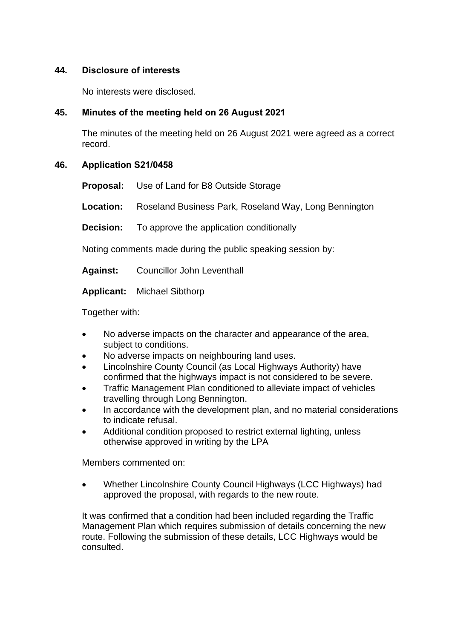# **44. Disclosure of interests**

No interests were disclosed.

# **45. Minutes of the meeting held on 26 August 2021**

The minutes of the meeting held on 26 August 2021 were agreed as a correct record.

# **46. Application S21/0458**

**Proposal:** Use of Land for B8 Outside Storage

**Location:** Roseland Business Park, Roseland Way, Long Bennington

**Decision:** To approve the application conditionally

Noting comments made during the public speaking session by:

**Against:** Councillor John Leventhall

**Applicant:** Michael Sibthorp

Together with:

- No adverse impacts on the character and appearance of the area, subject to conditions.
- No adverse impacts on neighbouring land uses.
- Lincolnshire County Council (as Local Highways Authority) have confirmed that the highways impact is not considered to be severe.
- Traffic Management Plan conditioned to alleviate impact of vehicles travelling through Long Bennington.
- In accordance with the development plan, and no material considerations to indicate refusal.
- Additional condition proposed to restrict external lighting, unless otherwise approved in writing by the LPA

Members commented on:

• Whether Lincolnshire County Council Highways (LCC Highways) had approved the proposal, with regards to the new route.

It was confirmed that a condition had been included regarding the Traffic Management Plan which requires submission of details concerning the new route. Following the submission of these details, LCC Highways would be consulted.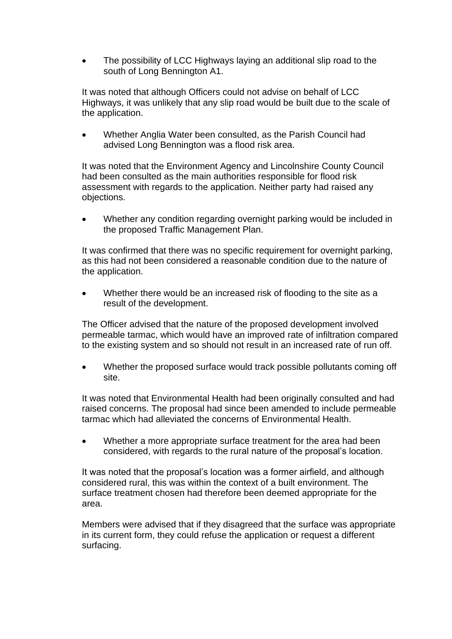• The possibility of LCC Highways laying an additional slip road to the south of Long Bennington A1.

It was noted that although Officers could not advise on behalf of LCC Highways, it was unlikely that any slip road would be built due to the scale of the application.

• Whether Anglia Water been consulted, as the Parish Council had advised Long Bennington was a flood risk area.

It was noted that the Environment Agency and Lincolnshire County Council had been consulted as the main authorities responsible for flood risk assessment with regards to the application. Neither party had raised any objections.

• Whether any condition regarding overnight parking would be included in the proposed Traffic Management Plan.

It was confirmed that there was no specific requirement for overnight parking, as this had not been considered a reasonable condition due to the nature of the application.

• Whether there would be an increased risk of flooding to the site as a result of the development.

The Officer advised that the nature of the proposed development involved permeable tarmac, which would have an improved rate of infiltration compared to the existing system and so should not result in an increased rate of run off.

• Whether the proposed surface would track possible pollutants coming off site.

It was noted that Environmental Health had been originally consulted and had raised concerns. The proposal had since been amended to include permeable tarmac which had alleviated the concerns of Environmental Health.

• Whether a more appropriate surface treatment for the area had been considered, with regards to the rural nature of the proposal's location.

It was noted that the proposal's location was a former airfield, and although considered rural, this was within the context of a built environment. The surface treatment chosen had therefore been deemed appropriate for the area.

Members were advised that if they disagreed that the surface was appropriate in its current form, they could refuse the application or request a different surfacing.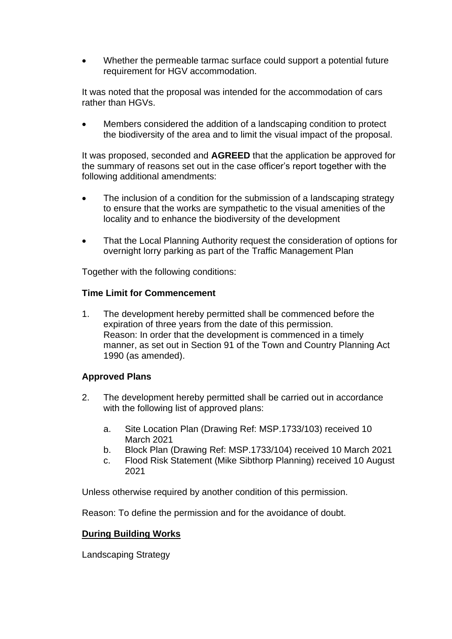• Whether the permeable tarmac surface could support a potential future requirement for HGV accommodation.

It was noted that the proposal was intended for the accommodation of cars rather than HGVs.

• Members considered the addition of a landscaping condition to protect the biodiversity of the area and to limit the visual impact of the proposal.

It was proposed, seconded and **AGREED** that the application be approved for the summary of reasons set out in the case officer's report together with the following additional amendments:

- The inclusion of a condition for the submission of a landscaping strategy to ensure that the works are sympathetic to the visual amenities of the locality and to enhance the biodiversity of the development
- That the Local Planning Authority request the consideration of options for overnight lorry parking as part of the Traffic Management Plan

Together with the following conditions:

#### **Time Limit for Commencement**

1. The development hereby permitted shall be commenced before the expiration of three years from the date of this permission. Reason: In order that the development is commenced in a timely manner, as set out in Section 91 of the Town and Country Planning Act 1990 (as amended).

#### **Approved Plans**

- 2. The development hereby permitted shall be carried out in accordance with the following list of approved plans:
	- a. Site Location Plan (Drawing Ref: MSP.1733/103) received 10 March 2021
	- b. Block Plan (Drawing Ref: MSP.1733/104) received 10 March 2021
	- c. Flood Risk Statement (Mike Sibthorp Planning) received 10 August 2021

Unless otherwise required by another condition of this permission.

Reason: To define the permission and for the avoidance of doubt.

# **During Building Works**

Landscaping Strategy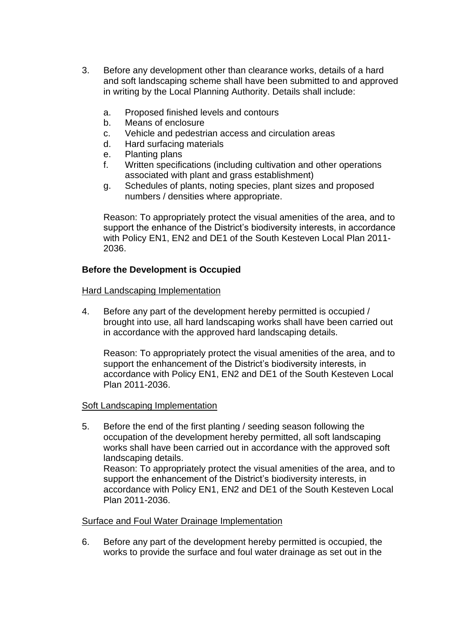- 3. Before any development other than clearance works, details of a hard and soft landscaping scheme shall have been submitted to and approved in writing by the Local Planning Authority. Details shall include:
	- a. Proposed finished levels and contours
	- b. Means of enclosure
	- c. Vehicle and pedestrian access and circulation areas
	- d. Hard surfacing materials
	- e. Planting plans
	- f. Written specifications (including cultivation and other operations associated with plant and grass establishment)
	- g. Schedules of plants, noting species, plant sizes and proposed numbers / densities where appropriate.

Reason: To appropriately protect the visual amenities of the area, and to support the enhance of the District's biodiversity interests, in accordance with Policy EN1, EN2 and DE1 of the South Kesteven Local Plan 2011- 2036.

# **Before the Development is Occupied**

# Hard Landscaping Implementation

4. Before any part of the development hereby permitted is occupied / brought into use, all hard landscaping works shall have been carried out in accordance with the approved hard landscaping details.

Reason: To appropriately protect the visual amenities of the area, and to support the enhancement of the District's biodiversity interests, in accordance with Policy EN1, EN2 and DE1 of the South Kesteven Local Plan 2011-2036.

# Soft Landscaping Implementation

5. Before the end of the first planting / seeding season following the occupation of the development hereby permitted, all soft landscaping works shall have been carried out in accordance with the approved soft landscaping details. Reason: To appropriately protect the visual amenities of the area, and to support the enhancement of the District's biodiversity interests, in accordance with Policy EN1, EN2 and DE1 of the South Kesteven Local Plan 2011-2036.

#### Surface and Foul Water Drainage Implementation

6. Before any part of the development hereby permitted is occupied, the works to provide the surface and foul water drainage as set out in the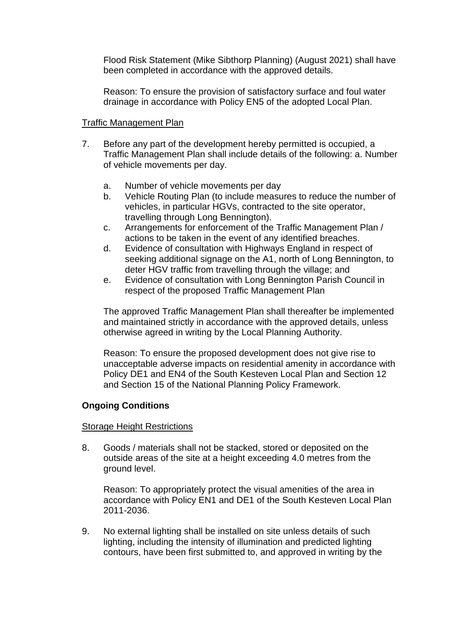Flood Risk Statement (Mike Sibthorp Planning) (August 2021) shall have been completed in accordance with the approved details.

Reason: To ensure the provision of satisfactory surface and foul water drainage in accordance with Policy EN5 of the adopted Local Plan.

# Traffic Management Plan

- 7. Before any part of the development hereby permitted is occupied, a Traffic Management Plan shall include details of the following: a. Number of vehicle movements per day.
	- a. Number of vehicle movements per day
	- b. Vehicle Routing Plan (to include measures to reduce the number of vehicles, in particular HGVs, contracted to the site operator, travelling through Long Bennington).
	- c. Arrangements for enforcement of the Traffic Management Plan / actions to be taken in the event of any identified breaches.
	- d. Evidence of consultation with Highways England in respect of seeking additional signage on the A1, north of Long Bennington, to deter HGV traffic from travelling through the village; and
	- e. Evidence of consultation with Long Bennington Parish Council in respect of the proposed Traffic Management Plan

The approved Traffic Management Plan shall thereafter be implemented and maintained strictly in accordance with the approved details, unless otherwise agreed in writing by the Local Planning Authority.

Reason: To ensure the proposed development does not give rise to unacceptable adverse impacts on residential amenity in accordance with Policy DE1 and EN4 of the South Kesteven Local Plan and Section 12 and Section 15 of the National Planning Policy Framework.

# **Ongoing Conditions**

#### Storage Height Restrictions

8. Goods / materials shall not be stacked, stored or deposited on the outside areas of the site at a height exceeding 4.0 metres from the ground level.

Reason: To appropriately protect the visual amenities of the area in accordance with Policy EN1 and DE1 of the South Kesteven Local Plan 2011-2036.

9. No external lighting shall be installed on site unless details of such lighting, including the intensity of illumination and predicted lighting contours, have been first submitted to, and approved in writing by the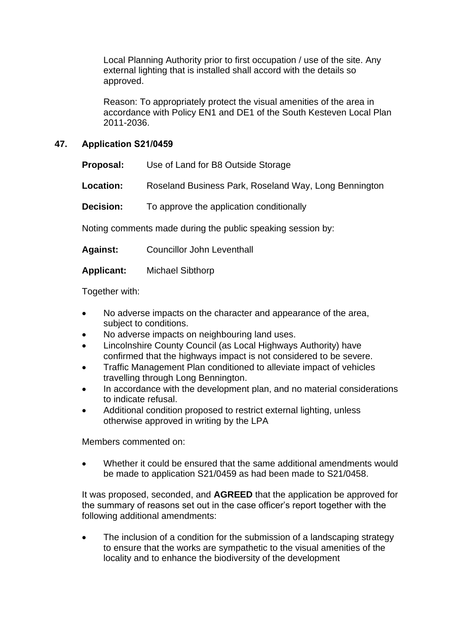Local Planning Authority prior to first occupation / use of the site. Any external lighting that is installed shall accord with the details so approved.

Reason: To appropriately protect the visual amenities of the area in accordance with Policy EN1 and DE1 of the South Kesteven Local Plan 2011-2036.

# **47. Application S21/0459**

**Proposal:** Use of Land for B8 Outside Storage

**Location:** Roseland Business Park, Roseland Way, Long Bennington

**Decision:** To approve the application conditionally

Noting comments made during the public speaking session by:

**Against:** Councillor John Leventhall

# **Applicant:** Michael Sibthorp

Together with:

- No adverse impacts on the character and appearance of the area, subject to conditions.
- No adverse impacts on neighbouring land uses.
- Lincolnshire County Council (as Local Highways Authority) have confirmed that the highways impact is not considered to be severe.
- Traffic Management Plan conditioned to alleviate impact of vehicles travelling through Long Bennington.
- In accordance with the development plan, and no material considerations to indicate refusal.
- Additional condition proposed to restrict external lighting, unless otherwise approved in writing by the LPA

Members commented on:

• Whether it could be ensured that the same additional amendments would be made to application S21/0459 as had been made to S21/0458.

It was proposed, seconded, and **AGREED** that the application be approved for the summary of reasons set out in the case officer's report together with the following additional amendments:

The inclusion of a condition for the submission of a landscaping strategy to ensure that the works are sympathetic to the visual amenities of the locality and to enhance the biodiversity of the development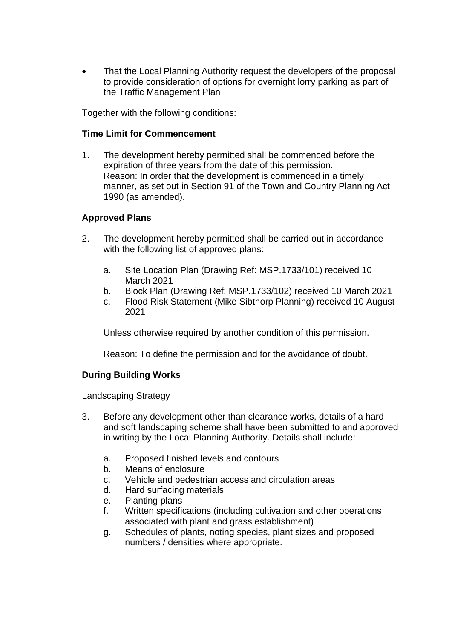• That the Local Planning Authority request the developers of the proposal to provide consideration of options for overnight lorry parking as part of the Traffic Management Plan

Together with the following conditions:

# **Time Limit for Commencement**

1. The development hereby permitted shall be commenced before the expiration of three years from the date of this permission. Reason: In order that the development is commenced in a timely manner, as set out in Section 91 of the Town and Country Planning Act 1990 (as amended).

# **Approved Plans**

- 2. The development hereby permitted shall be carried out in accordance with the following list of approved plans:
	- a. Site Location Plan (Drawing Ref: MSP.1733/101) received 10 March 2021
	- b. Block Plan (Drawing Ref: MSP.1733/102) received 10 March 2021
	- c. Flood Risk Statement (Mike Sibthorp Planning) received 10 August 2021

Unless otherwise required by another condition of this permission.

Reason: To define the permission and for the avoidance of doubt.

# **During Building Works**

# Landscaping Strategy

- 3. Before any development other than clearance works, details of a hard and soft landscaping scheme shall have been submitted to and approved in writing by the Local Planning Authority. Details shall include:
	- a. Proposed finished levels and contours
	- b. Means of enclosure
	- c. Vehicle and pedestrian access and circulation areas
	- d. Hard surfacing materials
	- e. Planting plans
	- f. Written specifications (including cultivation and other operations associated with plant and grass establishment)
	- g. Schedules of plants, noting species, plant sizes and proposed numbers / densities where appropriate.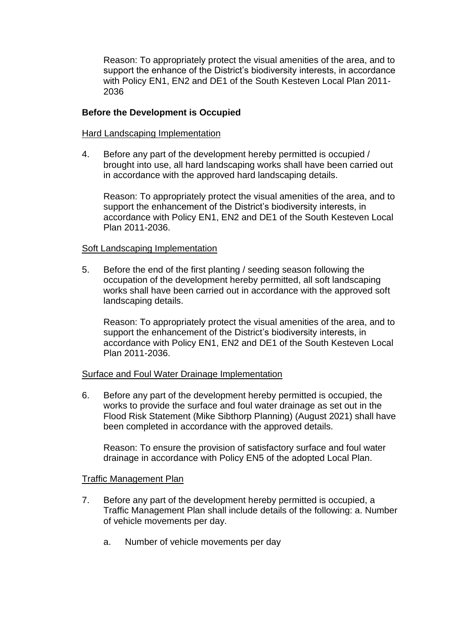Reason: To appropriately protect the visual amenities of the area, and to support the enhance of the District's biodiversity interests, in accordance with Policy EN1, EN2 and DE1 of the South Kesteven Local Plan 2011- 2036

# **Before the Development is Occupied**

#### Hard Landscaping Implementation

4. Before any part of the development hereby permitted is occupied / brought into use, all hard landscaping works shall have been carried out in accordance with the approved hard landscaping details.

Reason: To appropriately protect the visual amenities of the area, and to support the enhancement of the District's biodiversity interests, in accordance with Policy EN1, EN2 and DE1 of the South Kesteven Local Plan 2011-2036.

# Soft Landscaping Implementation

5. Before the end of the first planting / seeding season following the occupation of the development hereby permitted, all soft landscaping works shall have been carried out in accordance with the approved soft landscaping details.

Reason: To appropriately protect the visual amenities of the area, and to support the enhancement of the District's biodiversity interests, in accordance with Policy EN1, EN2 and DE1 of the South Kesteven Local Plan 2011-2036.

# Surface and Foul Water Drainage Implementation

6. Before any part of the development hereby permitted is occupied, the works to provide the surface and foul water drainage as set out in the Flood Risk Statement (Mike Sibthorp Planning) (August 2021) shall have been completed in accordance with the approved details.

Reason: To ensure the provision of satisfactory surface and foul water drainage in accordance with Policy EN5 of the adopted Local Plan.

# Traffic Management Plan

- 7. Before any part of the development hereby permitted is occupied, a Traffic Management Plan shall include details of the following: a. Number of vehicle movements per day.
	- a. Number of vehicle movements per day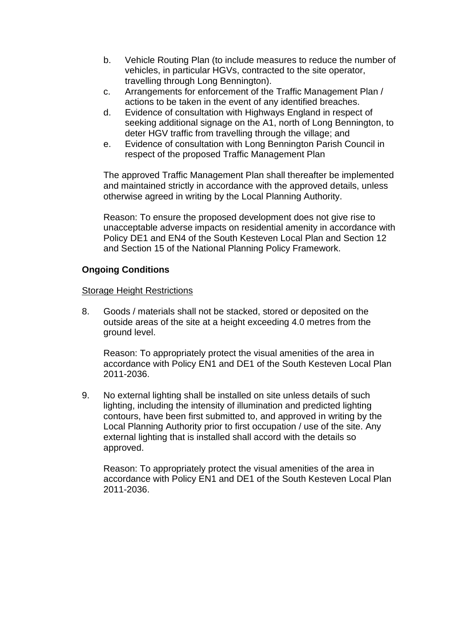- b. Vehicle Routing Plan (to include measures to reduce the number of vehicles, in particular HGVs, contracted to the site operator, travelling through Long Bennington).
- c. Arrangements for enforcement of the Traffic Management Plan / actions to be taken in the event of any identified breaches.
- d. Evidence of consultation with Highways England in respect of seeking additional signage on the A1, north of Long Bennington, to deter HGV traffic from travelling through the village; and
- e. Evidence of consultation with Long Bennington Parish Council in respect of the proposed Traffic Management Plan

The approved Traffic Management Plan shall thereafter be implemented and maintained strictly in accordance with the approved details, unless otherwise agreed in writing by the Local Planning Authority.

Reason: To ensure the proposed development does not give rise to unacceptable adverse impacts on residential amenity in accordance with Policy DE1 and EN4 of the South Kesteven Local Plan and Section 12 and Section 15 of the National Planning Policy Framework.

# **Ongoing Conditions**

#### **Storage Height Restrictions**

8. Goods / materials shall not be stacked, stored or deposited on the outside areas of the site at a height exceeding 4.0 metres from the ground level.

Reason: To appropriately protect the visual amenities of the area in accordance with Policy EN1 and DE1 of the South Kesteven Local Plan 2011-2036.

9. No external lighting shall be installed on site unless details of such lighting, including the intensity of illumination and predicted lighting contours, have been first submitted to, and approved in writing by the Local Planning Authority prior to first occupation / use of the site. Any external lighting that is installed shall accord with the details so approved.

Reason: To appropriately protect the visual amenities of the area in accordance with Policy EN1 and DE1 of the South Kesteven Local Plan 2011-2036.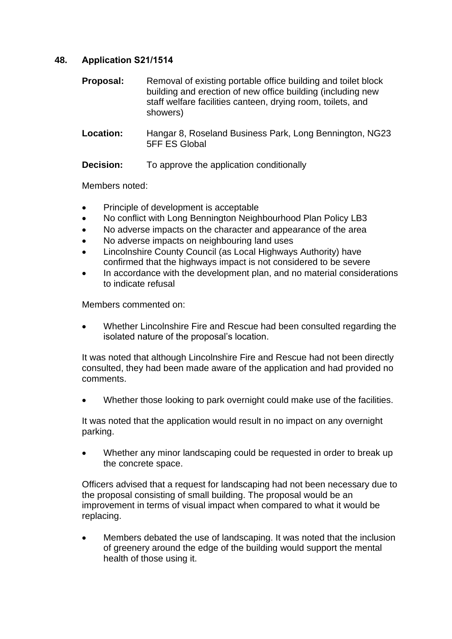# **48. Application S21/1514**

- **Proposal:** Removal of existing portable office building and toilet block building and erection of new office building (including new staff welfare facilities canteen, drying room, toilets, and showers)
- **Location:** Hangar 8, Roseland Business Park, Long Bennington, NG23 5FF ES Global

**Decision:** To approve the application conditionally

Members noted:

- Principle of development is acceptable
- No conflict with Long Bennington Neighbourhood Plan Policy LB3
- No adverse impacts on the character and appearance of the area
- No adverse impacts on neighbouring land uses
- Lincolnshire County Council (as Local Highways Authority) have confirmed that the highways impact is not considered to be severe
- In accordance with the development plan, and no material considerations to indicate refusal

Members commented on:

• Whether Lincolnshire Fire and Rescue had been consulted regarding the isolated nature of the proposal's location.

It was noted that although Lincolnshire Fire and Rescue had not been directly consulted, they had been made aware of the application and had provided no comments.

Whether those looking to park overnight could make use of the facilities.

It was noted that the application would result in no impact on any overnight parking.

• Whether any minor landscaping could be requested in order to break up the concrete space.

Officers advised that a request for landscaping had not been necessary due to the proposal consisting of small building. The proposal would be an improvement in terms of visual impact when compared to what it would be replacing.

• Members debated the use of landscaping. It was noted that the inclusion of greenery around the edge of the building would support the mental health of those using it.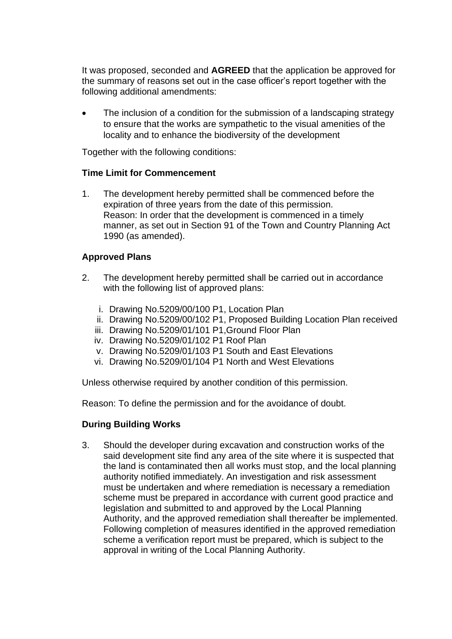It was proposed, seconded and **AGREED** that the application be approved for the summary of reasons set out in the case officer's report together with the following additional amendments:

The inclusion of a condition for the submission of a landscaping strategy to ensure that the works are sympathetic to the visual amenities of the locality and to enhance the biodiversity of the development

Together with the following conditions:

#### **Time Limit for Commencement**

1. The development hereby permitted shall be commenced before the expiration of three years from the date of this permission. Reason: In order that the development is commenced in a timely manner, as set out in Section 91 of the Town and Country Planning Act 1990 (as amended).

# **Approved Plans**

- 2. The development hereby permitted shall be carried out in accordance with the following list of approved plans:
	- i. Drawing No.5209/00/100 P1, Location Plan
	- ii. Drawing No.5209/00/102 P1, Proposed Building Location Plan received
	- iii. Drawing No.5209/01/101 P1,Ground Floor Plan
	- iv. Drawing No.5209/01/102 P1 Roof Plan
	- v. Drawing No.5209/01/103 P1 South and East Elevations
	- vi. Drawing No.5209/01/104 P1 North and West Elevations

Unless otherwise required by another condition of this permission.

Reason: To define the permission and for the avoidance of doubt.

# **During Building Works**

3. Should the developer during excavation and construction works of the said development site find any area of the site where it is suspected that the land is contaminated then all works must stop, and the local planning authority notified immediately. An investigation and risk assessment must be undertaken and where remediation is necessary a remediation scheme must be prepared in accordance with current good practice and legislation and submitted to and approved by the Local Planning Authority, and the approved remediation shall thereafter be implemented. Following completion of measures identified in the approved remediation scheme a verification report must be prepared, which is subject to the approval in writing of the Local Planning Authority.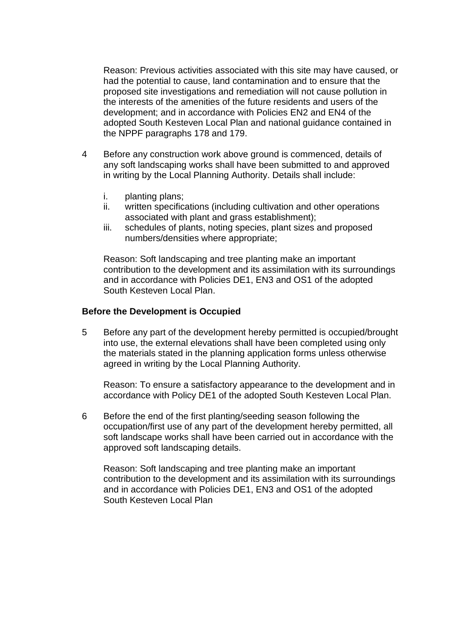Reason: Previous activities associated with this site may have caused, or had the potential to cause, land contamination and to ensure that the proposed site investigations and remediation will not cause pollution in the interests of the amenities of the future residents and users of the development; and in accordance with Policies EN2 and EN4 of the adopted South Kesteven Local Plan and national guidance contained in the NPPF paragraphs 178 and 179.

- 4 Before any construction work above ground is commenced, details of any soft landscaping works shall have been submitted to and approved in writing by the Local Planning Authority. Details shall include:
	- i. planting plans;
	- ii. written specifications (including cultivation and other operations associated with plant and grass establishment);
	- iii. schedules of plants, noting species, plant sizes and proposed numbers/densities where appropriate;

Reason: Soft landscaping and tree planting make an important contribution to the development and its assimilation with its surroundings and in accordance with Policies DE1, EN3 and OS1 of the adopted South Kesteven Local Plan.

#### **Before the Development is Occupied**

5 Before any part of the development hereby permitted is occupied/brought into use, the external elevations shall have been completed using only the materials stated in the planning application forms unless otherwise agreed in writing by the Local Planning Authority.

Reason: To ensure a satisfactory appearance to the development and in accordance with Policy DE1 of the adopted South Kesteven Local Plan.

6 Before the end of the first planting/seeding season following the occupation/first use of any part of the development hereby permitted, all soft landscape works shall have been carried out in accordance with the approved soft landscaping details.

Reason: Soft landscaping and tree planting make an important contribution to the development and its assimilation with its surroundings and in accordance with Policies DE1, EN3 and OS1 of the adopted South Kesteven Local Plan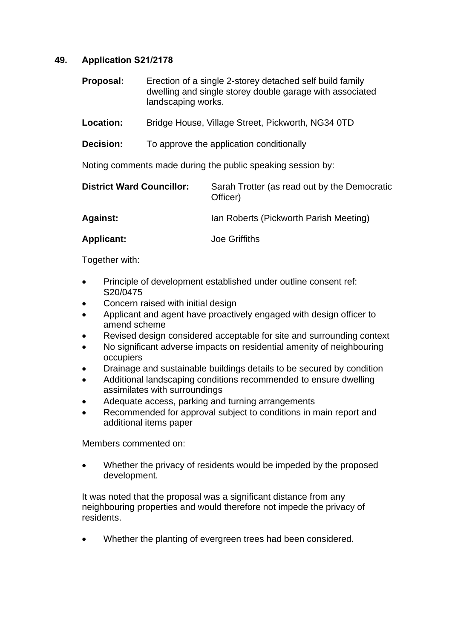# **49. Application S21/2178**

- **Proposal:** Erection of a single 2-storey detached self build family dwelling and single storey double garage with associated landscaping works.
- **Location:** Bridge House, Village Street, Pickworth, NG34 0TD
- **Decision:** To approve the application conditionally

Noting comments made during the public speaking session by:

| <b>District Ward Councillor:</b> | Sarah Trotter (as read out by the Democratic<br>Officer) |
|----------------------------------|----------------------------------------------------------|
| <b>Against:</b>                  | Ian Roberts (Pickworth Parish Meeting)                   |

**Applicant:** Joe Griffiths

Together with:

- Principle of development established under outline consent ref: S20/0475
- Concern raised with initial design
- Applicant and agent have proactively engaged with design officer to amend scheme
- Revised design considered acceptable for site and surrounding context
- No significant adverse impacts on residential amenity of neighbouring occupiers
- Drainage and sustainable buildings details to be secured by condition
- Additional landscaping conditions recommended to ensure dwelling assimilates with surroundings
- Adequate access, parking and turning arrangements
- Recommended for approval subject to conditions in main report and additional items paper

Members commented on:

• Whether the privacy of residents would be impeded by the proposed development.

It was noted that the proposal was a significant distance from any neighbouring properties and would therefore not impede the privacy of residents.

• Whether the planting of evergreen trees had been considered.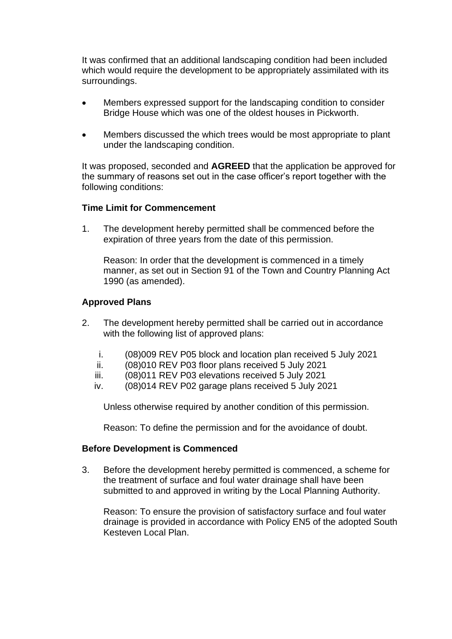It was confirmed that an additional landscaping condition had been included which would require the development to be appropriately assimilated with its surroundings.

- Members expressed support for the landscaping condition to consider Bridge House which was one of the oldest houses in Pickworth.
- Members discussed the which trees would be most appropriate to plant under the landscaping condition.

It was proposed, seconded and **AGREED** that the application be approved for the summary of reasons set out in the case officer's report together with the following conditions:

#### **Time Limit for Commencement**

1. The development hereby permitted shall be commenced before the expiration of three years from the date of this permission.

Reason: In order that the development is commenced in a timely manner, as set out in Section 91 of the Town and Country Planning Act 1990 (as amended).

#### **Approved Plans**

- 2. The development hereby permitted shall be carried out in accordance with the following list of approved plans:
	- i. (08)009 REV P05 block and location plan received 5 July 2021
	- ii. (08)010 REV P03 floor plans received 5 July 2021
	- iii. (08)011 REV P03 elevations received 5 July 2021
	- iv. (08)014 REV P02 garage plans received 5 July 2021

Unless otherwise required by another condition of this permission.

Reason: To define the permission and for the avoidance of doubt.

#### **Before Development is Commenced**

3. Before the development hereby permitted is commenced, a scheme for the treatment of surface and foul water drainage shall have been submitted to and approved in writing by the Local Planning Authority.

Reason: To ensure the provision of satisfactory surface and foul water drainage is provided in accordance with Policy EN5 of the adopted South Kesteven Local Plan.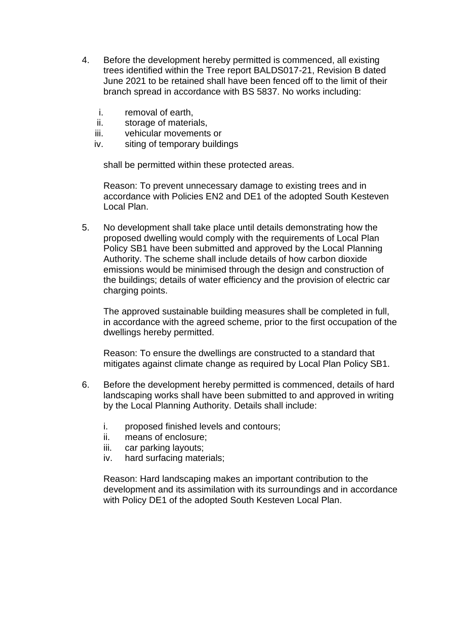- 4. Before the development hereby permitted is commenced, all existing trees identified within the Tree report BALDS017-21, Revision B dated June 2021 to be retained shall have been fenced off to the limit of their branch spread in accordance with BS 5837. No works including:
	- i. removal of earth,
	- ii. storage of materials,
	- iii. vehicular movements or
	- iv. siting of temporary buildings

shall be permitted within these protected areas.

Reason: To prevent unnecessary damage to existing trees and in accordance with Policies EN2 and DE1 of the adopted South Kesteven Local Plan.

5. No development shall take place until details demonstrating how the proposed dwelling would comply with the requirements of Local Plan Policy SB1 have been submitted and approved by the Local Planning Authority. The scheme shall include details of how carbon dioxide emissions would be minimised through the design and construction of the buildings; details of water efficiency and the provision of electric car charging points.

The approved sustainable building measures shall be completed in full, in accordance with the agreed scheme, prior to the first occupation of the dwellings hereby permitted.

Reason: To ensure the dwellings are constructed to a standard that mitigates against climate change as required by Local Plan Policy SB1.

- 6. Before the development hereby permitted is commenced, details of hard landscaping works shall have been submitted to and approved in writing by the Local Planning Authority. Details shall include:
	- i. proposed finished levels and contours;
	- ii. means of enclosure;
	- iii. car parking layouts;
	- iv. hard surfacing materials;

Reason: Hard landscaping makes an important contribution to the development and its assimilation with its surroundings and in accordance with Policy DE1 of the adopted South Kesteven Local Plan.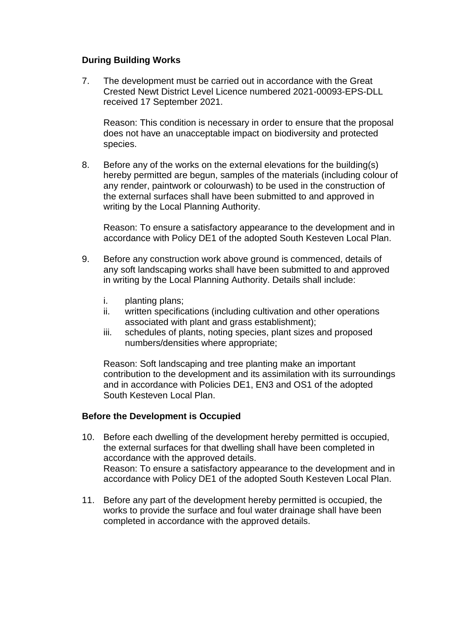# **During Building Works**

7. The development must be carried out in accordance with the Great Crested Newt District Level Licence numbered 2021-00093-EPS-DLL received 17 September 2021.

Reason: This condition is necessary in order to ensure that the proposal does not have an unacceptable impact on biodiversity and protected species.

8. Before any of the works on the external elevations for the building(s) hereby permitted are begun, samples of the materials (including colour of any render, paintwork or colourwash) to be used in the construction of the external surfaces shall have been submitted to and approved in writing by the Local Planning Authority.

Reason: To ensure a satisfactory appearance to the development and in accordance with Policy DE1 of the adopted South Kesteven Local Plan.

- 9. Before any construction work above ground is commenced, details of any soft landscaping works shall have been submitted to and approved in writing by the Local Planning Authority. Details shall include:
	- i. planting plans;
	- ii. written specifications (including cultivation and other operations associated with plant and grass establishment);
	- iii. schedules of plants, noting species, plant sizes and proposed numbers/densities where appropriate;

Reason: Soft landscaping and tree planting make an important contribution to the development and its assimilation with its surroundings and in accordance with Policies DE1, EN3 and OS1 of the adopted South Kesteven Local Plan.

# **Before the Development is Occupied**

- 10. Before each dwelling of the development hereby permitted is occupied, the external surfaces for that dwelling shall have been completed in accordance with the approved details. Reason: To ensure a satisfactory appearance to the development and in accordance with Policy DE1 of the adopted South Kesteven Local Plan.
- 11. Before any part of the development hereby permitted is occupied, the works to provide the surface and foul water drainage shall have been completed in accordance with the approved details.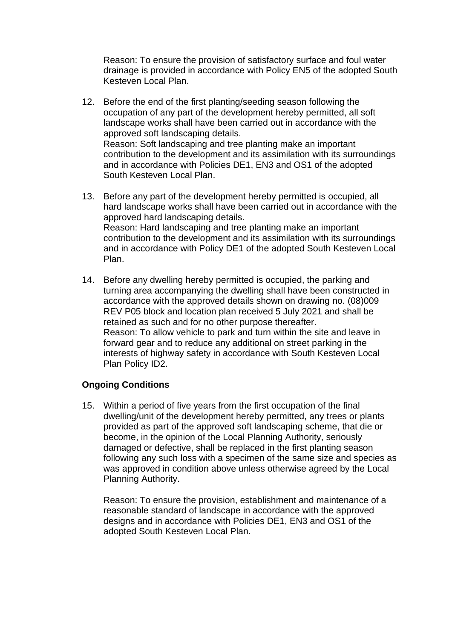Reason: To ensure the provision of satisfactory surface and foul water drainage is provided in accordance with Policy EN5 of the adopted South Kesteven Local Plan.

- 12. Before the end of the first planting/seeding season following the occupation of any part of the development hereby permitted, all soft landscape works shall have been carried out in accordance with the approved soft landscaping details. Reason: Soft landscaping and tree planting make an important contribution to the development and its assimilation with its surroundings and in accordance with Policies DE1, EN3 and OS1 of the adopted South Kesteven Local Plan.
- 13. Before any part of the development hereby permitted is occupied, all hard landscape works shall have been carried out in accordance with the approved hard landscaping details. Reason: Hard landscaping and tree planting make an important contribution to the development and its assimilation with its surroundings and in accordance with Policy DE1 of the adopted South Kesteven Local Plan.
- 14. Before any dwelling hereby permitted is occupied, the parking and turning area accompanying the dwelling shall have been constructed in accordance with the approved details shown on drawing no. (08)009 REV P05 block and location plan received 5 July 2021 and shall be retained as such and for no other purpose thereafter. Reason: To allow vehicle to park and turn within the site and leave in forward gear and to reduce any additional on street parking in the interests of highway safety in accordance with South Kesteven Local Plan Policy ID2.

# **Ongoing Conditions**

15. Within a period of five years from the first occupation of the final dwelling/unit of the development hereby permitted, any trees or plants provided as part of the approved soft landscaping scheme, that die or become, in the opinion of the Local Planning Authority, seriously damaged or defective, shall be replaced in the first planting season following any such loss with a specimen of the same size and species as was approved in condition above unless otherwise agreed by the Local Planning Authority.

Reason: To ensure the provision, establishment and maintenance of a reasonable standard of landscape in accordance with the approved designs and in accordance with Policies DE1, EN3 and OS1 of the adopted South Kesteven Local Plan.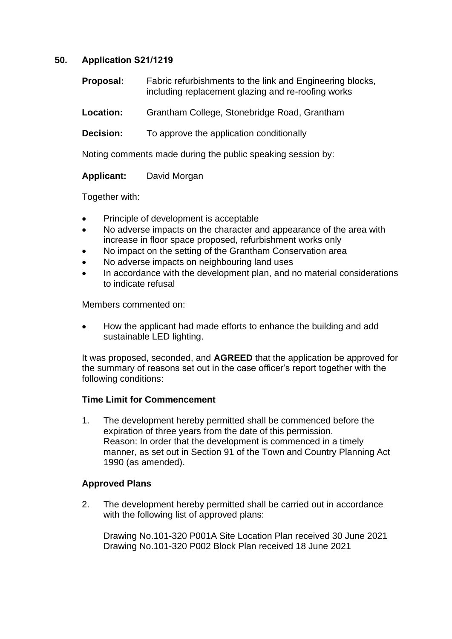# **50. Application S21/1219**

**Proposal:** Fabric refurbishments to the link and Engineering blocks, including replacement glazing and re-roofing works

**Location:** Grantham College, Stonebridge Road, Grantham

**Decision:** To approve the application conditionally

Noting comments made during the public speaking session by:

**Applicant:** David Morgan

Together with:

- Principle of development is acceptable
- No adverse impacts on the character and appearance of the area with increase in floor space proposed, refurbishment works only
- No impact on the setting of the Grantham Conservation area
- No adverse impacts on neighbouring land uses
- In accordance with the development plan, and no material considerations to indicate refusal

Members commented on:

• How the applicant had made efforts to enhance the building and add sustainable LED lighting.

It was proposed, seconded, and **AGREED** that the application be approved for the summary of reasons set out in the case officer's report together with the following conditions:

# **Time Limit for Commencement**

1. The development hereby permitted shall be commenced before the expiration of three years from the date of this permission. Reason: In order that the development is commenced in a timely manner, as set out in Section 91 of the Town and Country Planning Act 1990 (as amended).

# **Approved Plans**

2. The development hereby permitted shall be carried out in accordance with the following list of approved plans:

Drawing No.101-320 P001A Site Location Plan received 30 June 2021 Drawing No.101-320 P002 Block Plan received 18 June 2021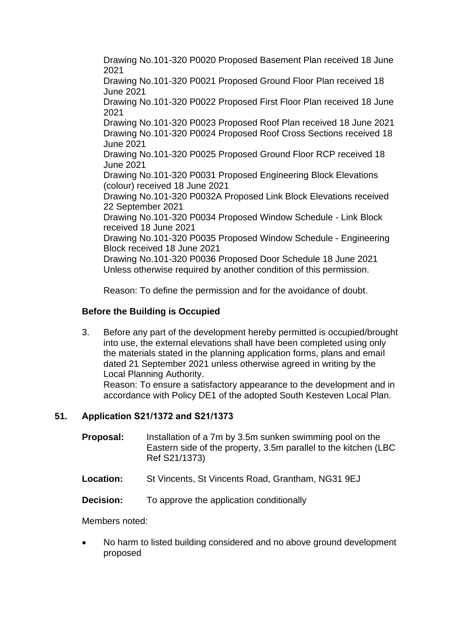Drawing No.101-320 P0020 Proposed Basement Plan received 18 June 2021

Drawing No.101-320 P0021 Proposed Ground Floor Plan received 18 June 2021

Drawing No.101-320 P0022 Proposed First Floor Plan received 18 June 2021

Drawing No.101-320 P0023 Proposed Roof Plan received 18 June 2021 Drawing No.101-320 P0024 Proposed Roof Cross Sections received 18 June 2021

Drawing No.101-320 P0025 Proposed Ground Floor RCP received 18 June 2021

Drawing No.101-320 P0031 Proposed Engineering Block Elevations (colour) received 18 June 2021

Drawing No.101-320 P0032A Proposed Link Block Elevations received 22 September 2021

Drawing No.101-320 P0034 Proposed Window Schedule - Link Block received 18 June 2021

Drawing No.101-320 P0035 Proposed Window Schedule - Engineering Block received 18 June 2021

Drawing No.101-320 P0036 Proposed Door Schedule 18 June 2021 Unless otherwise required by another condition of this permission.

Reason: To define the permission and for the avoidance of doubt.

# **Before the Building is Occupied**

3. Before any part of the development hereby permitted is occupied/brought into use, the external elevations shall have been completed using only the materials stated in the planning application forms, plans and email dated 21 September 2021 unless otherwise agreed in writing by the Local Planning Authority.

Reason: To ensure a satisfactory appearance to the development and in accordance with Policy DE1 of the adopted South Kesteven Local Plan.

# **51. Application S21/1372 and S21/1373**

- **Proposal:** Installation of a 7m by 3.5m sunken swimming pool on the Eastern side of the property, 3.5m parallel to the kitchen (LBC Ref S21/1373)
- **Location:** St Vincents, St Vincents Road, Grantham, NG31 9EJ

# **Decision:** To approve the application conditionally

Members noted:

• No harm to listed building considered and no above ground development proposed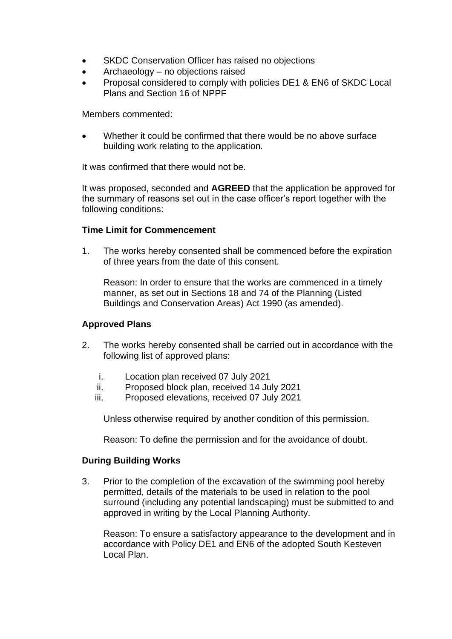- SKDC Conservation Officer has raised no objections
- Archaeology no objections raised
- Proposal considered to comply with policies DE1 & EN6 of SKDC Local Plans and Section 16 of NPPF

Members commented:

• Whether it could be confirmed that there would be no above surface building work relating to the application.

It was confirmed that there would not be.

It was proposed, seconded and **AGREED** that the application be approved for the summary of reasons set out in the case officer's report together with the following conditions:

# **Time Limit for Commencement**

1. The works hereby consented shall be commenced before the expiration of three years from the date of this consent.

Reason: In order to ensure that the works are commenced in a timely manner, as set out in Sections 18 and 74 of the Planning (Listed Buildings and Conservation Areas) Act 1990 (as amended).

# **Approved Plans**

- 2. The works hereby consented shall be carried out in accordance with the following list of approved plans:
	- i. Location plan received 07 July 2021
	- ii. Proposed block plan, received 14 July 2021
	- iii. Proposed elevations, received 07 July 2021

Unless otherwise required by another condition of this permission.

Reason: To define the permission and for the avoidance of doubt.

# **During Building Works**

3. Prior to the completion of the excavation of the swimming pool hereby permitted, details of the materials to be used in relation to the pool surround (including any potential landscaping) must be submitted to and approved in writing by the Local Planning Authority.

Reason: To ensure a satisfactory appearance to the development and in accordance with Policy DE1 and EN6 of the adopted South Kesteven Local Plan.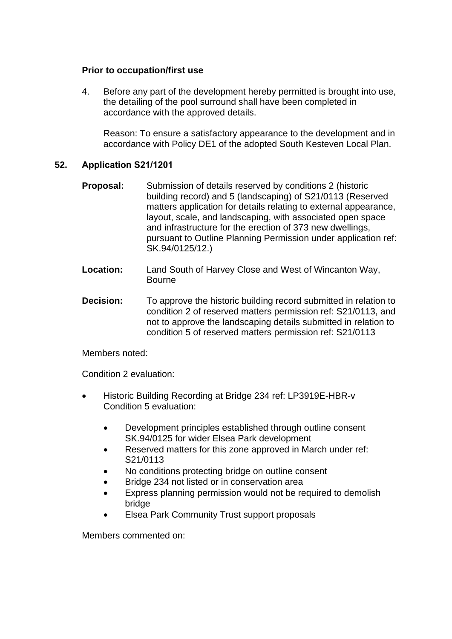# **Prior to occupation/first use**

4. Before any part of the development hereby permitted is brought into use, the detailing of the pool surround shall have been completed in accordance with the approved details.

Reason: To ensure a satisfactory appearance to the development and in accordance with Policy DE1 of the adopted South Kesteven Local Plan.

#### **52. Application S21/1201**

- **Proposal:** Submission of details reserved by conditions 2 (historic building record) and 5 (landscaping) of S21/0113 (Reserved matters application for details relating to external appearance, layout, scale, and landscaping, with associated open space and infrastructure for the erection of 373 new dwellings, pursuant to Outline Planning Permission under application ref: SK.94/0125/12.)
- **Location:** Land South of Harvey Close and West of Wincanton Way, Bourne
- **Decision:** To approve the historic building record submitted in relation to condition 2 of reserved matters permission ref: S21/0113, and not to approve the landscaping details submitted in relation to condition 5 of reserved matters permission ref: S21/0113

Members noted:

Condition 2 evaluation:

- Historic Building Recording at Bridge 234 ref: LP3919E-HBR-v Condition 5 evaluation:
	- Development principles established through outline consent SK.94/0125 for wider Elsea Park development
	- Reserved matters for this zone approved in March under ref: S21/0113
	- No conditions protecting bridge on outline consent
	- Bridge 234 not listed or in conservation area
	- Express planning permission would not be required to demolish bridge
	- Elsea Park Community Trust support proposals

Members commented on: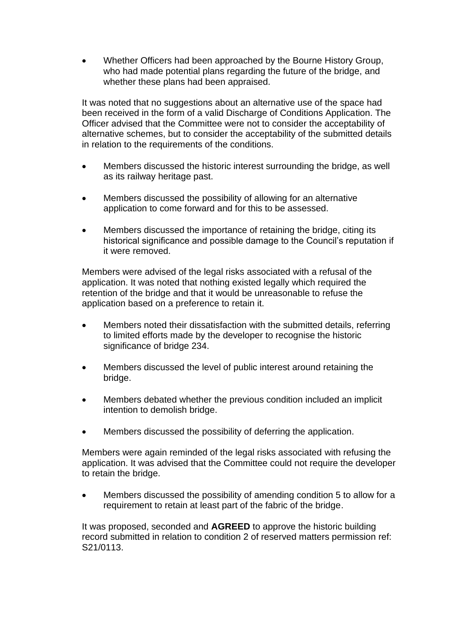• Whether Officers had been approached by the Bourne History Group, who had made potential plans regarding the future of the bridge, and whether these plans had been appraised.

It was noted that no suggestions about an alternative use of the space had been received in the form of a valid Discharge of Conditions Application. The Officer advised that the Committee were not to consider the acceptability of alternative schemes, but to consider the acceptability of the submitted details in relation to the requirements of the conditions.

- Members discussed the historic interest surrounding the bridge, as well as its railway heritage past.
- Members discussed the possibility of allowing for an alternative application to come forward and for this to be assessed.
- Members discussed the importance of retaining the bridge, citing its historical significance and possible damage to the Council's reputation if it were removed.

Members were advised of the legal risks associated with a refusal of the application. It was noted that nothing existed legally which required the retention of the bridge and that it would be unreasonable to refuse the application based on a preference to retain it.

- Members noted their dissatisfaction with the submitted details, referring to limited efforts made by the developer to recognise the historic significance of bridge 234.
- Members discussed the level of public interest around retaining the bridge.
- Members debated whether the previous condition included an implicit intention to demolish bridge.
- Members discussed the possibility of deferring the application.

Members were again reminded of the legal risks associated with refusing the application. It was advised that the Committee could not require the developer to retain the bridge.

• Members discussed the possibility of amending condition 5 to allow for a requirement to retain at least part of the fabric of the bridge.

It was proposed, seconded and **AGREED** to approve the historic building record submitted in relation to condition 2 of reserved matters permission ref: S21/0113.